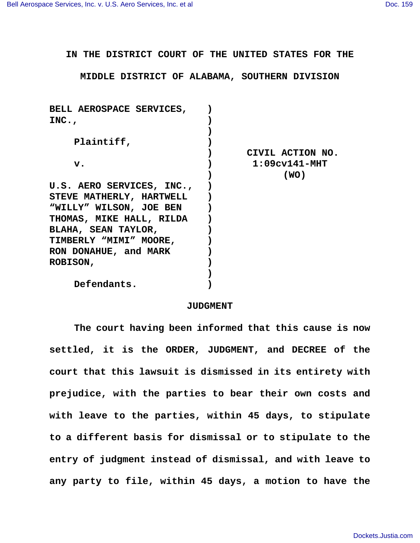**IN THE DISTRICT COURT OF THE UNITED STATES FOR THE**

**MIDDLE DISTRICT OF ALABAMA, SOUTHERN DIVISION**

| BELL AEROSPACE SERVICES,  |                  |
|---------------------------|------------------|
| INC.                      |                  |
|                           |                  |
| Plaintiff,                |                  |
|                           | CIVIL ACTION NO. |
| $\mathbf v$ .             | $1:09cv141-MHT$  |
|                           | (WO)             |
| U.S. AERO SERVICES, INC., |                  |
| STEVE MATHERLY, HARTWELL  |                  |
| "WILLY" WILSON, JOE BEN   |                  |
| THOMAS, MIKE HALL, RILDA  |                  |
| BLAHA, SEAN TAYLOR,       |                  |
| TIMBERLY "MIMI" MOORE,    |                  |
| RON DONAHUE, and MARK     |                  |
| <b>ROBISON,</b>           |                  |
|                           |                  |
| Defendants.               |                  |

## **JUDGMENT**

**The court having been informed that this cause is now settled, it is the ORDER, JUDGMENT, and DECREE of the court that this lawsuit is dismissed in its entirety with prejudice, with the parties to bear their own costs and with leave to the parties, within 45 days, to stipulate to a different basis for dismissal or to stipulate to the entry of judgment instead of dismissal, and with leave to any party to file, within 45 days, a motion to have the**